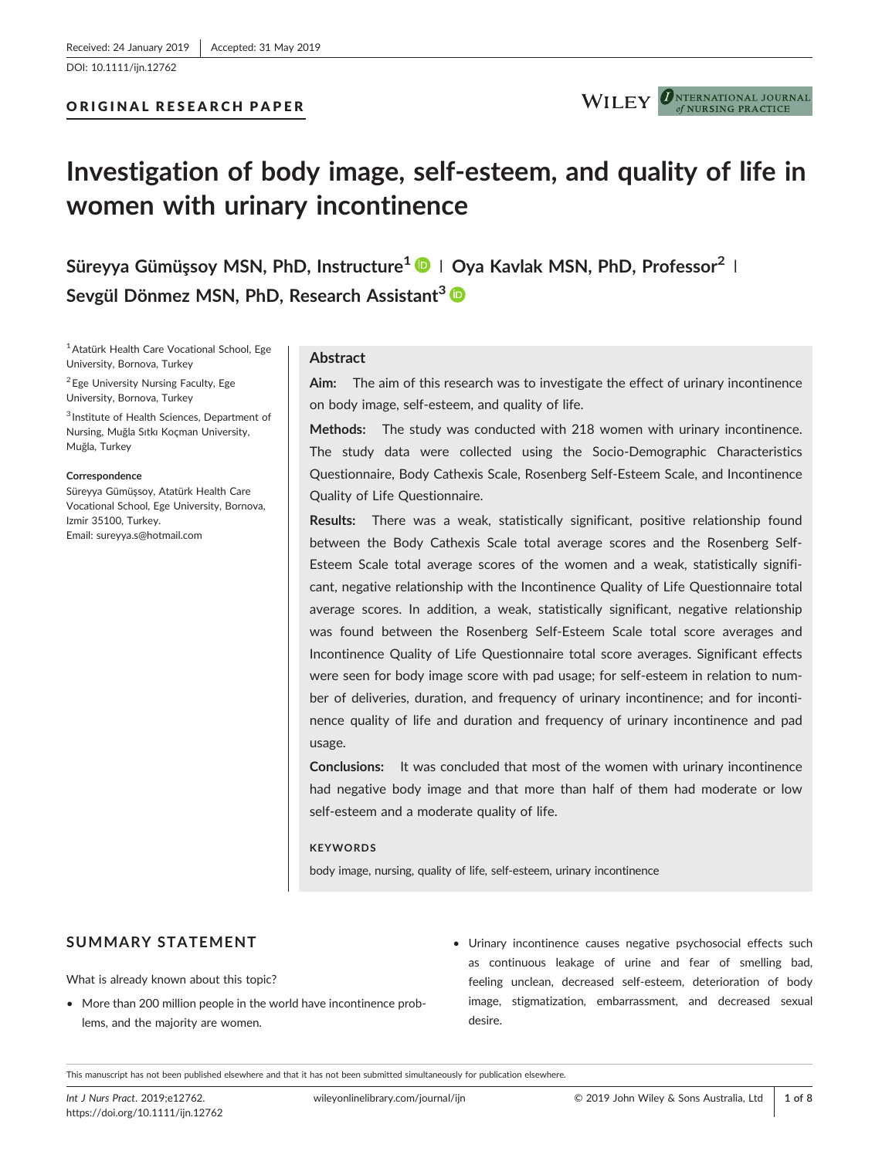[DOI: 10.1111/ijn.12762](https://doi.org/10.1111/ijn.12762)

**ONTERNATIONAL JOURNAL WILEY** NURSING PRACTICE

# **Investigation of body image, self‐esteem, and quality of life in women with urinary incontinence**

**Süreyya Gümüşsoy MSN, PhD, Instructure<sup>1</sup> <sup>|</sup> Oya Kavlak MSN, PhD, Professor<sup>2</sup> <sup>|</sup> Sevgül Dönmez MSN, PhD, Research Assistant<sup>3</sup>**

<sup>1</sup> Atatürk Health Care Vocational School, Ege University, Bornova, Turkey

<sup>2</sup> Ege University Nursing Faculty, Ege University, Bornova, Turkey

<sup>3</sup> Institute of Health Sciences, Department of Nursing, Muğla Sıtkı Koçman University, Muğla, Turkey

#### **Correspondence**

Süreyya Gümüşsoy, Atatürk Health Care Vocational School, Ege University, Bornova, Izmir 35100, Turkey. Email: sureyya.s@hotmail.com

#### **Abstract**

**Aim:** The aim of this research was to investigate the effect of urinary incontinence on body image, self‐esteem, and quality of life.

**Methods:** The study was conducted with 218 women with urinary incontinence. The study data were collected using the Socio‐Demographic Characteristics Questionnaire, Body Cathexis Scale, Rosenberg Self‐Esteem Scale, and Incontinence Quality of Life Questionnaire.

**Results:** There was a weak, statistically significant, positive relationship found between the Body Cathexis Scale total average scores and the Rosenberg Self‐ Esteem Scale total average scores of the women and a weak, statistically significant, negative relationship with the Incontinence Quality of Life Questionnaire total average scores. In addition, a weak, statistically significant, negative relationship was found between the Rosenberg Self‐Esteem Scale total score averages and Incontinence Quality of Life Questionnaire total score averages. Significant effects were seen for body image score with pad usage; for self-esteem in relation to number of deliveries, duration, and frequency of urinary incontinence; and for incontinence quality of life and duration and frequency of urinary incontinence and pad usage.

**Conclusions:** It was concluded that most of the women with urinary incontinence had negative body image and that more than half of them had moderate or low self-esteem and a moderate quality of life.

#### **KEYWORDS**

body image, nursing, quality of life, self‐esteem, urinary incontinence

## **SUMMARY STATEMENT**

What is already known about this topic?

- More than 200 million people in the world have incontinence problems, and the majority are women.
- Urinary incontinence causes negative psychosocial effects such as continuous leakage of urine and fear of smelling bad, feeling unclean, decreased self‐esteem, deterioration of body image, stigmatization, embarrassment, and decreased sexual desire.

This manuscript has not been published elsewhere and that it has not been submitted simultaneously for publication elsewhere.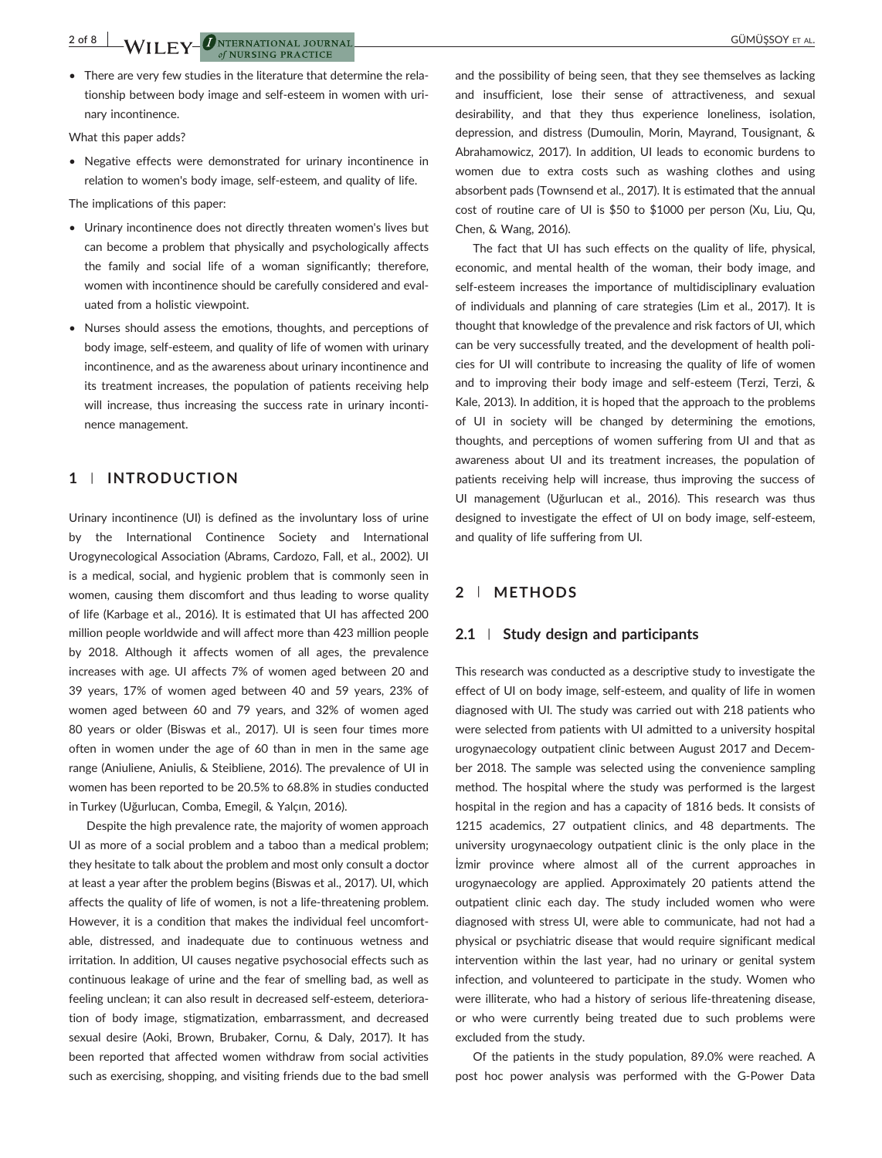• There are very few studies in the literature that determine the relationship between body image and self‐esteem in women with urinary incontinence.

What this paper adds?

• Negative effects were demonstrated for urinary incontinence in relation to women's body image, self‐esteem, and quality of life.

The implications of this paper:

- Urinary incontinence does not directly threaten women's lives but can become a problem that physically and psychologically affects the family and social life of a woman significantly; therefore, women with incontinence should be carefully considered and evaluated from a holistic viewpoint.
- Nurses should assess the emotions, thoughts, and perceptions of body image, self‐esteem, and quality of life of women with urinary incontinence, and as the awareness about urinary incontinence and its treatment increases, the population of patients receiving help will increase, thus increasing the success rate in urinary incontinence management.

#### **1** | **INTRODUCTION**

Urinary incontinence (UI) is defined as the involuntary loss of urine by the International Continence Society and International Urogynecological Association (Abrams, Cardozo, Fall, et al., 2002). UI is a medical, social, and hygienic problem that is commonly seen in women, causing them discomfort and thus leading to worse quality of life (Karbage et al., 2016). It is estimated that UI has affected 200 million people worldwide and will affect more than 423 million people by 2018. Although it affects women of all ages, the prevalence increases with age. UI affects 7% of women aged between 20 and 39 years, 17% of women aged between 40 and 59 years, 23% of women aged between 60 and 79 years, and 32% of women aged 80 years or older (Biswas et al., 2017). UI is seen four times more often in women under the age of 60 than in men in the same age range (Aniuliene, Aniulis, & Steibliene, 2016). The prevalence of UI in women has been reported to be 20.5% to 68.8% in studies conducted in Turkey (Uğurlucan, Comba, Emegil, & Yalçın, 2016).

Despite the high prevalence rate, the majority of women approach UI as more of a social problem and a taboo than a medical problem; they hesitate to talk about the problem and most only consult a doctor at least a year after the problem begins (Biswas et al., 2017). UI, which affects the quality of life of women, is not a life-threatening problem. However, it is a condition that makes the individual feel uncomfortable, distressed, and inadequate due to continuous wetness and irritation. In addition, UI causes negative psychosocial effects such as continuous leakage of urine and the fear of smelling bad, as well as feeling unclean; it can also result in decreased self‐esteem, deterioration of body image, stigmatization, embarrassment, and decreased sexual desire (Aoki, Brown, Brubaker, Cornu, & Daly, 2017). It has been reported that affected women withdraw from social activities such as exercising, shopping, and visiting friends due to the bad smell

and the possibility of being seen, that they see themselves as lacking and insufficient, lose their sense of attractiveness, and sexual desirability, and that they thus experience loneliness, isolation, depression, and distress (Dumoulin, Morin, Mayrand, Tousignant, & Abrahamowicz, 2017). In addition, UI leads to economic burdens to women due to extra costs such as washing clothes and using absorbent pads (Townsend et al., 2017). It is estimated that the annual cost of routine care of UI is \$50 to \$1000 per person (Xu, Liu, Qu, Chen, & Wang, 2016).

The fact that UI has such effects on the quality of life, physical, economic, and mental health of the woman, their body image, and self-esteem increases the importance of multidisciplinary evaluation of individuals and planning of care strategies (Lim et al., 2017). It is thought that knowledge of the prevalence and risk factors of UI, which can be very successfully treated, and the development of health policies for UI will contribute to increasing the quality of life of women and to improving their body image and self-esteem (Terzi, Terzi, & Kale, 2013). In addition, it is hoped that the approach to the problems of UI in society will be changed by determining the emotions, thoughts, and perceptions of women suffering from UI and that as awareness about UI and its treatment increases, the population of patients receiving help will increase, thus improving the success of UI management (Uğurlucan et al., 2016). This research was thus designed to investigate the effect of UI on body image, self‐esteem, and quality of life suffering from UI.

#### **2** | **METHODS**

#### **2.1** | **Study design and participants**

This research was conducted as a descriptive study to investigate the effect of UI on body image, self‐esteem, and quality of life in women diagnosed with UI. The study was carried out with 218 patients who were selected from patients with UI admitted to a university hospital urogynaecology outpatient clinic between August 2017 and December 2018. The sample was selected using the convenience sampling method. The hospital where the study was performed is the largest hospital in the region and has a capacity of 1816 beds. It consists of 1215 academics, 27 outpatient clinics, and 48 departments. The university urogynaecology outpatient clinic is the only place in the İzmir province where almost all of the current approaches in urogynaecology are applied. Approximately 20 patients attend the outpatient clinic each day. The study included women who were diagnosed with stress UI, were able to communicate, had not had a physical or psychiatric disease that would require significant medical intervention within the last year, had no urinary or genital system infection, and volunteered to participate in the study. Women who were illiterate, who had a history of serious life-threatening disease, or who were currently being treated due to such problems were excluded from the study.

Of the patients in the study population, 89.0% were reached. A post hoc power analysis was performed with the G‐Power Data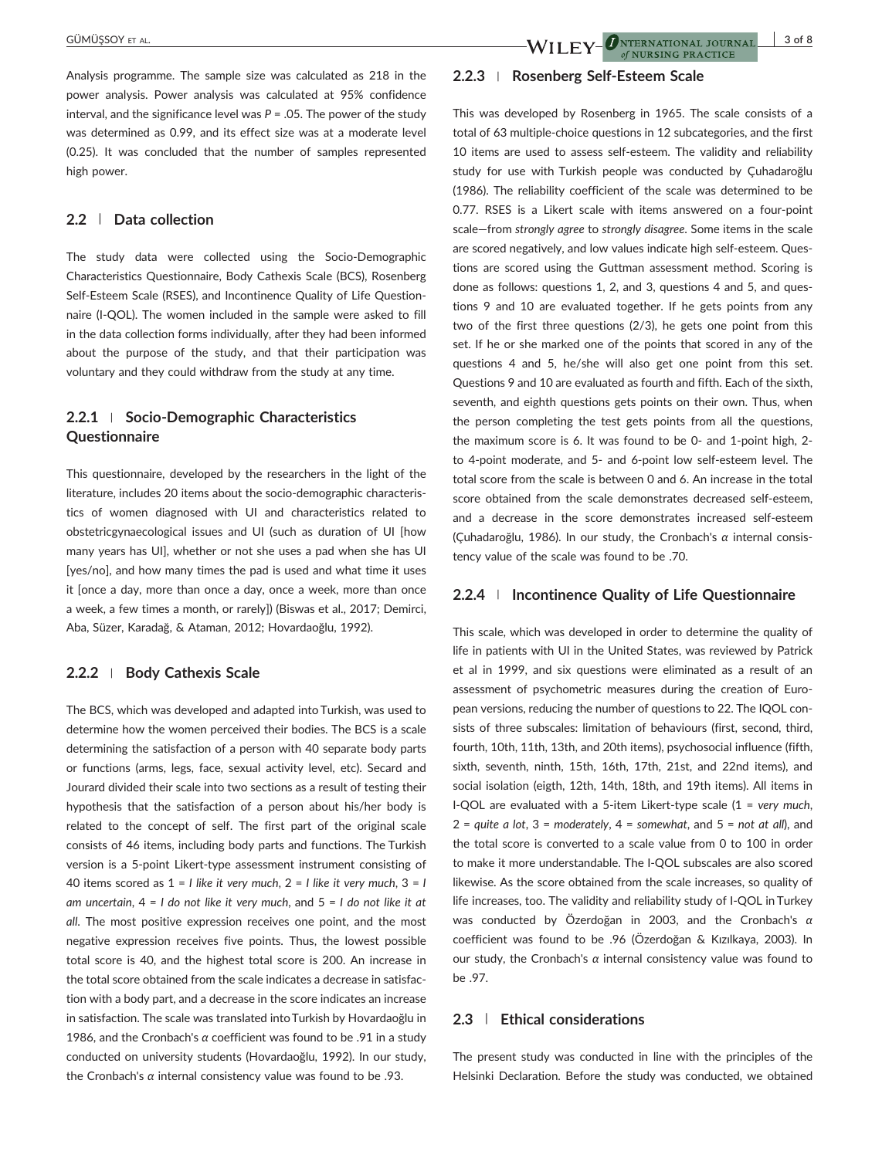Analysis programme. The sample size was calculated as 218 in the power analysis. Power analysis was calculated at 95% confidence interval, and the significance level was *P* = .05. The power of the study was determined as 0.99, and its effect size was at a moderate level (0.25). It was concluded that the number of samples represented high power.

### **2.2** | **Data collection**

The study data were collected using the Socio‐Demographic Characteristics Questionnaire, Body Cathexis Scale (BCS), Rosenberg Self-Esteem Scale (RSES), and Incontinence Quality of Life Questionnaire (I‐QOL). The women included in the sample were asked to fill in the data collection forms individually, after they had been informed about the purpose of the study, and that their participation was voluntary and they could withdraw from the study at any time.

# **2.2.1** <sup>|</sup> **Socio‐Demographic Characteristics Questionnaire**

This questionnaire, developed by the researchers in the light of the literature, includes 20 items about the socio‐demographic characteristics of women diagnosed with UI and characteristics related to obstetricgynaecological issues and UI (such as duration of UI [how many years has UI], whether or not she uses a pad when she has UI [yes/no], and how many times the pad is used and what time it uses it [once a day, more than once a day, once a week, more than once a week, a few times a month, or rarely]) (Biswas et al., 2017; Demirci, Aba, Süzer, Karadağ, & Ataman, 2012; Hovardaoğlu, 1992).

#### **2.2.2** <sup>|</sup> **Body Cathexis Scale**

The BCS, which was developed and adapted into Turkish, was used to determine how the women perceived their bodies. The BCS is a scale determining the satisfaction of a person with 40 separate body parts or functions (arms, legs, face, sexual activity level, etc). Secard and Jourard divided their scale into two sections as a result of testing their hypothesis that the satisfaction of a person about his/her body is related to the concept of self. The first part of the original scale consists of 46 items, including body parts and functions. The Turkish version is a 5‐point Likert‐type assessment instrument consisting of 40 items scored as 1 = *I like it very much*,2= *I like it very much*,3= *I am uncertain*,4= *I do not like it very much*, and 5 = *I do not like it at all*. The most positive expression receives one point, and the most negative expression receives five points. Thus, the lowest possible total score is 40, and the highest total score is 200. An increase in the total score obtained from the scale indicates a decrease in satisfaction with a body part, and a decrease in the score indicates an increase in satisfaction. The scale was translated into Turkish by Hovardaoğlu in 1986, and the Cronbach's *α* coefficient was found to be .91 in a study conducted on university students (Hovardaoğlu, 1992). In our study, the Cronbach's *α* internal consistency value was found to be .93.

#### **2.2.3** <sup>|</sup> **Rosenberg Self‐Esteem Scale**

This was developed by Rosenberg in 1965. The scale consists of a total of 63 multiple‐choice questions in 12 subcategories, and the first 10 items are used to assess self‐esteem. The validity and reliability study for use with Turkish people was conducted by Çuhadaroğlu (1986). The reliability coefficient of the scale was determined to be 0.77. RSES is a Likert scale with items answered on a four‐point scale—from *strongly agree* to *strongly disagree*. Some items in the scale are scored negatively, and low values indicate high self‐esteem. Questions are scored using the Guttman assessment method. Scoring is done as follows: questions 1, 2, and 3, questions 4 and 5, and questions 9 and 10 are evaluated together. If he gets points from any two of the first three questions (2/3), he gets one point from this set. If he or she marked one of the points that scored in any of the questions 4 and 5, he/she will also get one point from this set. Questions 9 and 10 are evaluated as fourth and fifth. Each of the sixth, seventh, and eighth questions gets points on their own. Thus, when the person completing the test gets points from all the questions, the maximum score is 6. It was found to be 0‐ and 1‐point high, 2‐ to 4‐point moderate, and 5‐ and 6‐point low self‐esteem level. The total score from the scale is between 0 and 6. An increase in the total score obtained from the scale demonstrates decreased self‐esteem, and a decrease in the score demonstrates increased self‐esteem (Çuhadaroğlu, 1986). In our study, the Cronbach's *α* internal consistency value of the scale was found to be .70.

of NURSING PRACTICE

#### **2.2.4** <sup>|</sup> **Incontinence Quality of Life Questionnaire**

This scale, which was developed in order to determine the quality of life in patients with UI in the United States, was reviewed by Patrick et al in 1999, and six questions were eliminated as a result of an assessment of psychometric measures during the creation of European versions, reducing the number of questions to 22. The IQOL consists of three subscales: limitation of behaviours (first, second, third, fourth, 10th, 11th, 13th, and 20th items), psychosocial influence (fifth, sixth, seventh, ninth, 15th, 16th, 17th, 21st, and 22nd items), and social isolation (eigth, 12th, 14th, 18th, and 19th items). All items in I‐QOL are evaluated with a 5‐item Likert‐type scale (1 = *very much*,  $2 =$  *quite a lot*,  $3 =$  *moderately*,  $4 =$  *somewhat*, and  $5 =$  *not at all*), and the total score is converted to a scale value from 0 to 100 in order to make it more understandable. The I‐QOL subscales are also scored likewise. As the score obtained from the scale increases, so quality of life increases, too. The validity and reliability study of I‐QOL in Turkey was conducted by Özerdoğan in 2003, and the Cronbach's *α* coefficient was found to be .96 (Özerdoğan & Kızılkaya, 2003). In our study, the Cronbach's *α* internal consistency value was found to be .97.

#### **2.3** | **Ethical considerations**

The present study was conducted in line with the principles of the Helsinki Declaration. Before the study was conducted, we obtained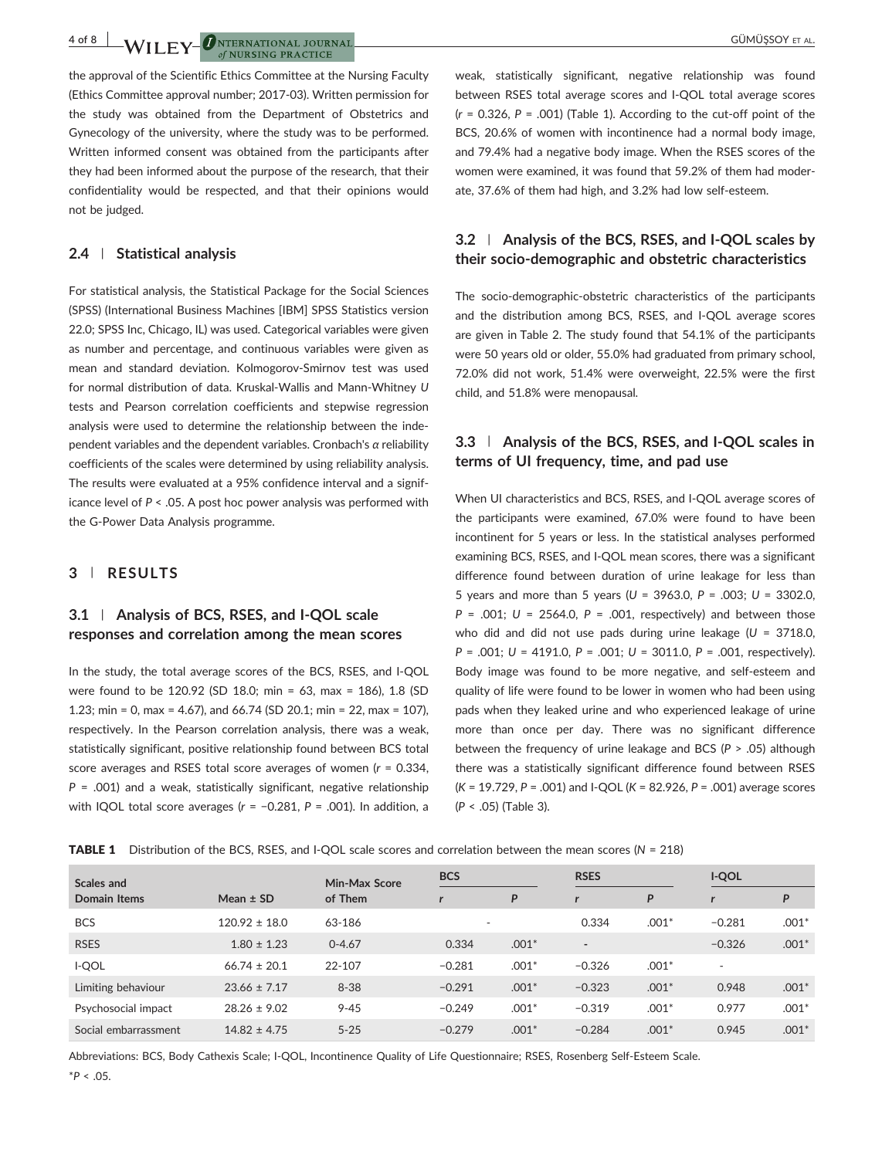**4 of 8 M/II EV ONTERNATIONAL JOURNAL** of NURSING PRACTICE

the approval of the Scientific Ethics Committee at the Nursing Faculty (Ethics Committee approval number; 2017‐03). Written permission for the study was obtained from the Department of Obstetrics and Gynecology of the university, where the study was to be performed. Written informed consent was obtained from the participants after they had been informed about the purpose of the research, that their confidentiality would be respected, and that their opinions would not be judged.

#### **2.4** | **Statistical analysis**

For statistical analysis, the Statistical Package for the Social Sciences (SPSS) (International Business Machines [IBM] SPSS Statistics version 22.0; SPSS Inc, Chicago, IL) was used. Categorical variables were given as number and percentage, and continuous variables were given as mean and standard deviation. Kolmogorov‐Smirnov test was used for normal distribution of data. Kruskal‐Wallis and Mann‐Whitney *U* tests and Pearson correlation coefficients and stepwise regression analysis were used to determine the relationship between the independent variables and the dependent variables. Cronbach's *α* reliability coefficients of the scales were determined by using reliability analysis. The results were evaluated at a 95% confidence interval and a significance level of *P* < .05. A post hoc power analysis was performed with the G‐Power Data Analysis programme.

#### **3** | **RESULTS**

# **3.1** | **Analysis of BCS, RSES, and I‐QOL scale responses and correlation among the mean scores**

In the study, the total average scores of the BCS, RSES, and I‐QOL were found to be 120.92 (SD 18.0; min = 63, max = 186), 1.8 (SD 1.23; min = 0, max = 4.67), and 66.74 (SD 20.1; min = 22, max = 107), respectively. In the Pearson correlation analysis, there was a weak, statistically significant, positive relationship found between BCS total score averages and RSES total score averages of women (*r* = 0.334, *P* = .001) and a weak, statistically significant, negative relationship with IQOL total score averages (*r* = −0.281, *P* = .001). In addition, a

weak, statistically significant, negative relationship was found between RSES total average scores and I‐QOL total average scores  $(r = 0.326, P = .001)$  (Table 1). According to the cut-off point of the BCS, 20.6% of women with incontinence had a normal body image, and 79.4% had a negative body image. When the RSES scores of the women were examined, it was found that 59.2% of them had moderate, 37.6% of them had high, and 3.2% had low self‐esteem.

# **3.2** | **Analysis of the BCS, RSES, and I‐QOL scales by their socio‐demographic and obstetric characteristics**

The socio‐demographic‐obstetric characteristics of the participants and the distribution among BCS, RSES, and I‐QOL average scores are given in Table 2. The study found that 54.1% of the participants were 50 years old or older, 55.0% had graduated from primary school, 72.0% did not work, 51.4% were overweight, 22.5% were the first child, and 51.8% were menopausal.

## **3.3** | **Analysis of the BCS, RSES, and I‐QOL scales in terms of UI frequency, time, and pad use**

When UI characteristics and BCS, RSES, and I‐QOL average scores of the participants were examined, 67.0% were found to have been incontinent for 5 years or less. In the statistical analyses performed examining BCS, RSES, and I‐QOL mean scores, there was a significant difference found between duration of urine leakage for less than 5 years and more than 5 years (*U* = 3963.0, *P* = .003; *U* = 3302.0, *P* = .001; *U* = 2564.0, *P* = .001, respectively) and between those who did and did not use pads during urine leakage (*U* = 3718.0, *P* = .001; *U* = 4191.0, *P* = .001; *U* = 3011.0, *P* = .001, respectively). Body image was found to be more negative, and self‐esteem and quality of life were found to be lower in women who had been using pads when they leaked urine and who experienced leakage of urine more than once per day. There was no significant difference between the frequency of urine leakage and BCS (*P* > .05) although there was a statistically significant difference found between RSES (*K* = 19.729, *P* = .001) and I‐QOL (*K* = 82.926, *P* = .001) average scores (*P* < .05) (Table 3).

|  | <b>TABLE 1</b> Distribution of the BCS, RSES, and I-QOL scale scores and correlation between the mean scores ( $N = 218$ ) |  |  |  |  |  |
|--|----------------------------------------------------------------------------------------------------------------------------|--|--|--|--|--|
|--|----------------------------------------------------------------------------------------------------------------------------|--|--|--|--|--|

| Scales and           |                   | Min-Max Score | <b>BCS</b>               |         | <b>RSES</b>              |         |                          | I-QOL   |  |
|----------------------|-------------------|---------------|--------------------------|---------|--------------------------|---------|--------------------------|---------|--|
| Domain Items         | Mean $\pm$ SD     | of Them       |                          | P       |                          | P       | r                        | P       |  |
| <b>BCS</b>           | $120.92 \pm 18.0$ | 63-186        | $\overline{\phantom{a}}$ |         | 0.334                    | $.001*$ | $-0.281$                 | $.001*$ |  |
| <b>RSES</b>          | $1.80 \pm 1.23$   | $0 - 4.67$    | 0.334                    | $.001*$ | $\overline{\phantom{a}}$ |         | $-0.326$                 | $.001*$ |  |
| I-QOL                | $66.74 \pm 20.1$  | 22-107        | $-0.281$                 | $.001*$ | $-0.326$                 | $.001*$ | $\overline{\phantom{a}}$ |         |  |
| Limiting behaviour   | $23.66 \pm 7.17$  | $8 - 38$      | $-0.291$                 | $.001*$ | $-0.323$                 | $.001*$ | 0.948                    | $.001*$ |  |
| Psychosocial impact  | $28.26 \pm 9.02$  | $9 - 45$      | $-0.249$                 | $.001*$ | $-0.319$                 | $.001*$ | 0.977                    | $.001*$ |  |
| Social embarrassment | $14.82 \pm 4.75$  | $5 - 25$      | $-0.279$                 | $.001*$ | $-0.284$                 | $.001*$ | 0.945                    | $.001*$ |  |

Abbreviations: BCS, Body Cathexis Scale; I‐QOL, Incontinence Quality of Life Questionnaire; RSES, Rosenberg Self‐Esteem Scale. \**P* < .05.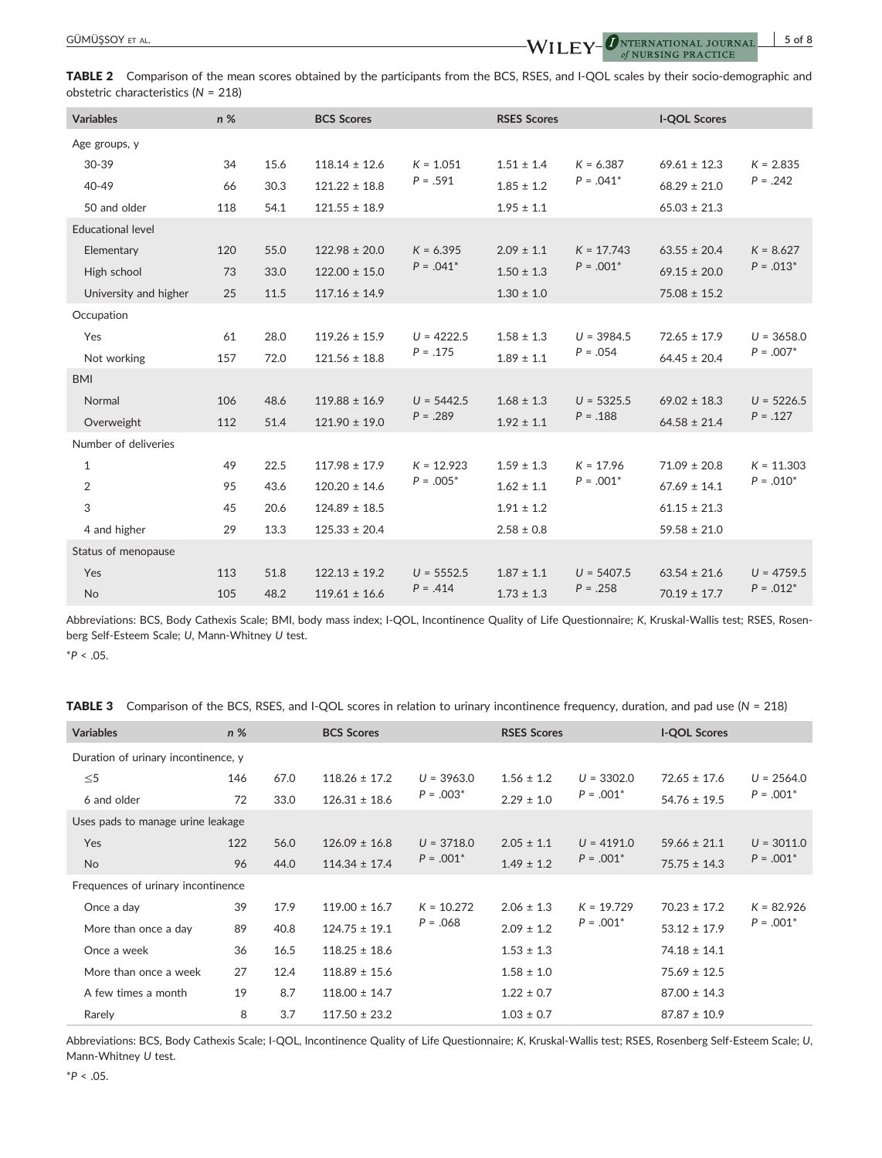

TABLE 2 Comparison of the mean scores obtained by the participants from the BCS, RSES, and I-QOL scales by their socio-demographic and obstetric characteristics (*N* = 218)

| <b>Variables</b>         | n % |      | <b>BCS Scores</b> |              | <b>RSES Scores</b> |              | <b>I-QOL Scores</b> |              |
|--------------------------|-----|------|-------------------|--------------|--------------------|--------------|---------------------|--------------|
|                          |     |      |                   |              |                    |              |                     |              |
| Age groups, y            |     |      |                   |              |                    |              |                     |              |
| $30-39$                  | 34  | 15.6 | $118.14 \pm 12.6$ | $K = 1.051$  | $1.51 \pm 1.4$     | $K = 6.387$  | $69.61 \pm 12.3$    | $K = 2.835$  |
| 40-49                    | 66  | 30.3 | $121.22 \pm 18.8$ | $P = .591$   | $1.85 \pm 1.2$     | $P = .041*$  | $68.29 \pm 21.0$    | $P = .242$   |
| 50 and older             | 118 | 54.1 | $121.55 \pm 18.9$ |              | $1.95 \pm 1.1$     |              | $65.03 \pm 21.3$    |              |
| <b>Educational level</b> |     |      |                   |              |                    |              |                     |              |
| Elementary               | 120 | 55.0 | $122.98 \pm 20.0$ | $K = 6.395$  | $2.09 \pm 1.1$     | $K = 17.743$ | $63.55 \pm 20.4$    | $K = 8.627$  |
| High school              | 73  | 33.0 | $122.00 \pm 15.0$ | $P = .041*$  | $1.50 \pm 1.3$     | $P = .001*$  | $69.15 \pm 20.0$    | $P = .013*$  |
| University and higher    | 25  | 11.5 | $117.16 \pm 14.9$ |              | $1.30 \pm 1.0$     |              | $75.08 \pm 15.2$    |              |
| Occupation               |     |      |                   |              |                    |              |                     |              |
| Yes                      | 61  | 28.0 | $119.26 \pm 15.9$ | $U = 4222.5$ | $1.58 \pm 1.3$     | $U = 3984.5$ | $72.65 \pm 17.9$    | $U = 3658.0$ |
| Not working              | 157 | 72.0 | $121.56 \pm 18.8$ | $P = .175$   | $1.89 \pm 1.1$     | $P = .054$   | $64.45 \pm 20.4$    | $P = .007*$  |
| <b>BMI</b>               |     |      |                   |              |                    |              |                     |              |
| Normal                   | 106 | 48.6 | $119.88 \pm 16.9$ | $U = 5442.5$ | $1.68 \pm 1.3$     | $U = 5325.5$ | $69.02 \pm 18.3$    | $U = 5226.5$ |
| Overweight               | 112 | 51.4 | $121.90 \pm 19.0$ | $P = .289$   | $1.92 \pm 1.1$     | $P = .188$   | $64.58 \pm 21.4$    | $P = .127$   |
| Number of deliveries     |     |      |                   |              |                    |              |                     |              |
| 1                        | 49  | 22.5 | $117.98 \pm 17.9$ | $K = 12.923$ | $1.59 \pm 1.3$     | $K = 17.96$  | $71.09 \pm 20.8$    | $K = 11.303$ |
| $\overline{2}$           | 95  | 43.6 | $120.20 \pm 14.6$ | $P = .005*$  | $1.62 \pm 1.1$     | $P = .001*$  | $67.69 \pm 14.1$    | $P = .010*$  |
| 3                        | 45  | 20.6 | $124.89 \pm 18.5$ |              | $1.91 \pm 1.2$     |              | $61.15 \pm 21.3$    |              |
| 4 and higher             | 29  | 13.3 | $125.33 \pm 20.4$ |              | $2.58 \pm 0.8$     |              | $59.58 \pm 21.0$    |              |
| Status of menopause      |     |      |                   |              |                    |              |                     |              |
| Yes                      | 113 | 51.8 | $122.13 \pm 19.2$ | $U = 5552.5$ | $1.87 \pm 1.1$     | $U = 5407.5$ | $63.54 \pm 21.6$    | $U = 4759.5$ |
| <b>No</b>                | 105 | 48.2 | $119.61 \pm 16.6$ | $P = .414$   | $1.73 \pm 1.3$     | $P = .258$   | $70.19 \pm 17.7$    | $P = .012*$  |

Abbreviations: BCS, Body Cathexis Scale; BMI, body mass index; I‐QOL, Incontinence Quality of Life Questionnaire; *K*, Kruskal‐Wallis test; RSES, Rosenberg Self‐Esteem Scale; *U*, Mann‐Whitney *U* test.

\**P* < .05.

TABLE 3 Comparison of the BCS, RSES, and I‐QOL scores in relation to urinary incontinence frequency, duration, and pad use (*N* = 218)

| <b>Variables</b>                    | $n\%$ |      | <b>BCS Scores</b> |              | <b>RSES Scores</b> |                             | <b>I-QOL Scores</b> |                             |  |
|-------------------------------------|-------|------|-------------------|--------------|--------------------|-----------------------------|---------------------|-----------------------------|--|
| Duration of urinary incontinence, y |       |      |                   |              |                    |                             |                     |                             |  |
| $\leq 5$                            | 146   | 67.0 | $118.26 \pm 17.2$ | $U = 3963.0$ | $1.56 \pm 1.2$     | $U = 3302.0$                | $72.65 \pm 17.6$    | $U = 2564.0$                |  |
| 6 and older                         | 72    | 33.0 | $126.31 \pm 18.6$ | $P = .003*$  | $2.29 \pm 1.0$     | $P = .001*$                 | $54.76 \pm 19.5$    | $P = .001*$                 |  |
| Uses pads to manage urine leakage   |       |      |                   |              |                    |                             |                     |                             |  |
| <b>Yes</b>                          | 122   | 56.0 | $126.09 \pm 16.8$ | $U = 3718.0$ | $2.05 \pm 1.1$     | $U = 4191.0$<br>$P = .001*$ | $59.66 \pm 21.1$    | $U = 3011.0$<br>$P = .001*$ |  |
| <b>No</b>                           | 96    | 44.0 | $114.34 \pm 17.4$ | $P = .001*$  | $1.49 \pm 1.2$     |                             | $75.75 \pm 14.3$    |                             |  |
| Frequences of urinary incontinence  |       |      |                   |              |                    |                             |                     |                             |  |
| Once a day                          | 39    | 17.9 | $119.00 \pm 16.7$ | $K = 10.272$ | $2.06 \pm 1.3$     | $K = 19.729$<br>$P = .001*$ | $70.23 \pm 17.2$    | $K = 82.926$<br>$P = .001*$ |  |
| More than once a day                | 89    | 40.8 | $124.75 \pm 19.1$ | $P = .068$   | $2.09 \pm 1.2$     |                             | $53.12 \pm 17.9$    |                             |  |
| Once a week                         | 36    | 16.5 | $118.25 \pm 18.6$ |              | $1.53 \pm 1.3$     |                             | $74.18 \pm 14.1$    |                             |  |
| More than once a week               | 27    | 12.4 | $118.89 \pm 15.6$ |              | $1.58 \pm 1.0$     |                             | $75.69 \pm 12.5$    |                             |  |
| A few times a month                 | 19    | 8.7  | $118.00 \pm 14.7$ |              | $1.22 \pm 0.7$     |                             | $87.00 \pm 14.3$    |                             |  |
| Rarely                              | 8     | 3.7  | $117.50 \pm 23.2$ |              | $1.03 \pm 0.7$     |                             | $87.87 \pm 10.9$    |                             |  |

Abbreviations: BCS, Body Cathexis Scale; I‐QOL, Incontinence Quality of Life Questionnaire; *K*, Kruskal‐Wallis test; RSES, Rosenberg Self‐Esteem Scale; *U*, Mann‐Whitney *U* test.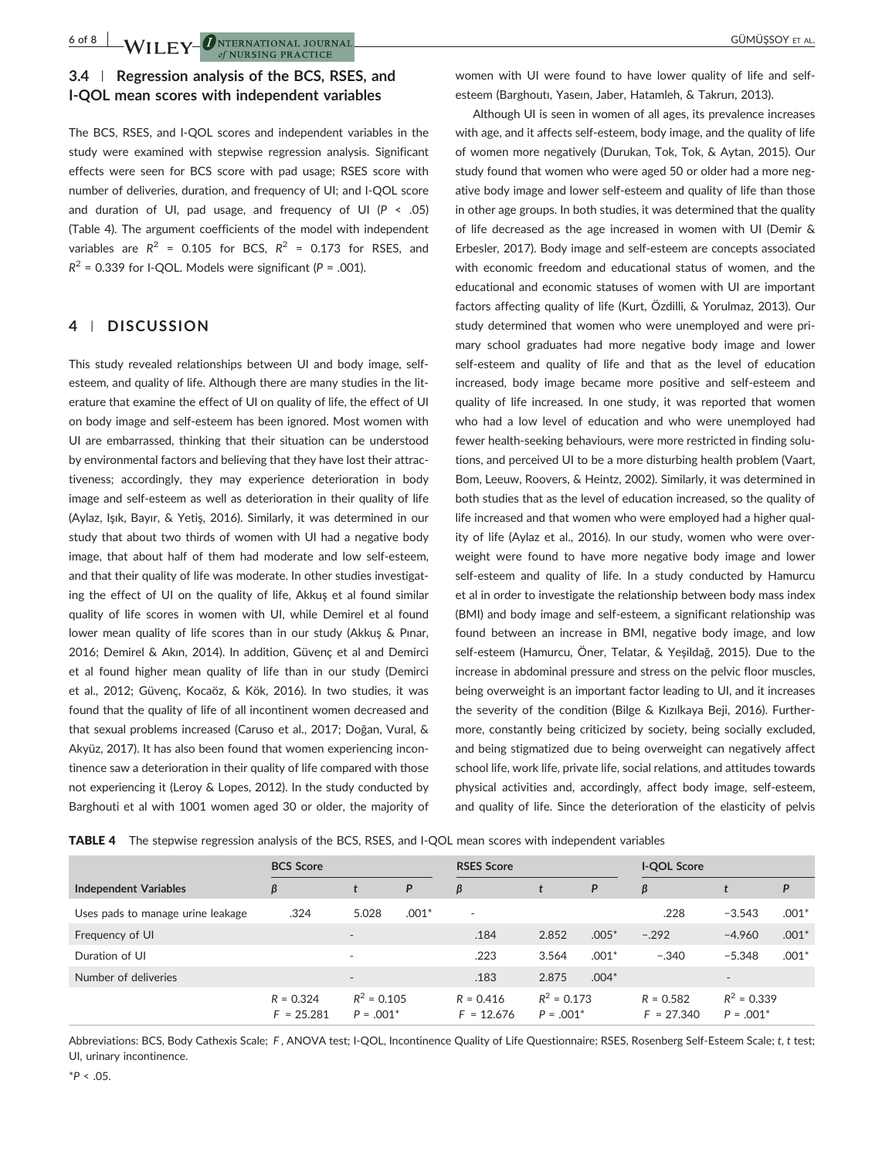6 of 8 **J A/II EV O**NTERNATIONAL JOURNAL of NURSING PRACTICE

# **3.4** | **Regression analysis of the BCS, RSES, and I‐QOL mean scores with independent variables**

The BCS, RSES, and I‐QOL scores and independent variables in the study were examined with stepwise regression analysis. Significant effects were seen for BCS score with pad usage; RSES score with number of deliveries, duration, and frequency of UI; and I‐QOL score and duration of UI, pad usage, and frequency of UI (*P* < .05) (Table 4). The argument coefficients of the model with independent variables are  $R^2$  = 0.105 for BCS,  $R^2$  = 0.173 for RSES, and  $R^2$  = 0.339 for I-QOL. Models were significant ( $P = .001$ ).

### **4** | **DISCUSSION**

This study revealed relationships between UI and body image, self‐ esteem, and quality of life. Although there are many studies in the literature that examine the effect of UI on quality of life, the effect of UI on body image and self‐esteem has been ignored. Most women with UI are embarrassed, thinking that their situation can be understood by environmental factors and believing that they have lost their attractiveness; accordingly, they may experience deterioration in body image and self‐esteem as well as deterioration in their quality of life (Aylaz, Işık, Bayır, & Yetiş, 2016). Similarly, it was determined in our study that about two thirds of women with UI had a negative body image, that about half of them had moderate and low self‐esteem, and that their quality of life was moderate. In other studies investigating the effect of UI on the quality of life, Akkuş et al found similar quality of life scores in women with UI, while Demirel et al found lower mean quality of life scores than in our study (Akkuş & Pınar, 2016; Demirel & Akın, 2014). In addition, Güvenç et al and Demirci et al found higher mean quality of life than in our study (Demirci et al., 2012; Güvenç, Kocaöz, & Kök, 2016). In two studies, it was found that the quality of life of all incontinent women decreased and that sexual problems increased (Caruso et al., 2017; Doğan, Vural, & Akyüz, 2017). It has also been found that women experiencing incontinence saw a deterioration in their quality of life compared with those not experiencing it (Leroy & Lopes, 2012). In the study conducted by Barghouti et al with 1001 women aged 30 or older, the majority of

women with UI were found to have lower quality of life and self‐ esteem (Barghoutı, Yaseın, Jaber, Hatamleh, & Takrurı, 2013).

Although UI is seen in women of all ages, its prevalence increases with age, and it affects self‐esteem, body image, and the quality of life of women more negatively (Durukan, Tok, Tok, & Aytan, 2015). Our study found that women who were aged 50 or older had a more negative body image and lower self‐esteem and quality of life than those in other age groups. In both studies, it was determined that the quality of life decreased as the age increased in women with UI (Demir & Erbesler, 2017). Body image and self‐esteem are concepts associated with economic freedom and educational status of women, and the educational and economic statuses of women with UI are important factors affecting quality of life (Kurt, Özdilli, & Yorulmaz, 2013). Our study determined that women who were unemployed and were primary school graduates had more negative body image and lower self-esteem and quality of life and that as the level of education increased, body image became more positive and self‐esteem and quality of life increased. In one study, it was reported that women who had a low level of education and who were unemployed had fewer health-seeking behaviours, were more restricted in finding solutions, and perceived UI to be a more disturbing health problem (Vaart, Bom, Leeuw, Roovers, & Heintz, 2002). Similarly, it was determined in both studies that as the level of education increased, so the quality of life increased and that women who were employed had a higher quality of life (Aylaz et al., 2016). In our study, women who were overweight were found to have more negative body image and lower self-esteem and quality of life. In a study conducted by Hamurcu et al in order to investigate the relationship between body mass index (BMI) and body image and self‐esteem, a significant relationship was found between an increase in BMI, negative body image, and low self‐esteem (Hamurcu, Öner, Telatar, & Yeşildağ, 2015). Due to the increase in abdominal pressure and stress on the pelvic floor muscles, being overweight is an important factor leading to UI, and it increases the severity of the condition (Bilge & Kızılkaya Beji, 2016). Furthermore, constantly being criticized by society, being socially excluded, and being stigmatized due to being overweight can negatively affect school life, work life, private life, social relations, and attitudes towards physical activities and, accordingly, affect body image, self‐esteem, and quality of life. Since the deterioration of the elasticity of pelvis

TABLE 4 The stepwise regression analysis of the BCS, RSES, and I-QOL mean scores with independent variables

|                                   | <b>BCS Score</b>            |                              |         | <b>RSES Score</b>           |                              |         | I-QOL Score                 |                              |         |
|-----------------------------------|-----------------------------|------------------------------|---------|-----------------------------|------------------------------|---------|-----------------------------|------------------------------|---------|
| <b>Independent Variables</b>      | β                           |                              | P       | β                           |                              | P       | β                           |                              | P       |
| Uses pads to manage urine leakage | .324                        | 5.028                        | $.001*$ | $\overline{\phantom{a}}$    |                              |         | .228                        | $-3.543$                     | $.001*$ |
| Frequency of UI                   |                             | $\overline{\phantom{a}}$     |         | .184                        | 2.852                        | $.005*$ | $-.292$                     | $-4.960$                     | $.001*$ |
| Duration of UI                    |                             | $\sim$                       |         | .223                        | 3.564                        | $.001*$ | $-.340$                     | $-5.348$                     | $.001*$ |
| Number of deliveries              |                             | $\overline{\phantom{a}}$     |         | .183                        | 2.875                        | $.004*$ |                             | $\overline{\phantom{a}}$     |         |
|                                   | $R = 0.324$<br>$F = 25.281$ | $R^2 = 0.105$<br>$P = .001*$ |         | $R = 0.416$<br>$F = 12.676$ | $R^2 = 0.173$<br>$P = .001*$ |         | $R = 0.582$<br>$F = 27.340$ | $R^2 = 0.339$<br>$P = .001*$ |         |

Abbreviations: BCS, Body Cathexis Scale; *F* , ANOVA test; I‐QOL, Incontinence Quality of Life Questionnaire; RSES, Rosenberg Self‐Esteem Scale; *t*, *t* test; UI, urinary incontinence.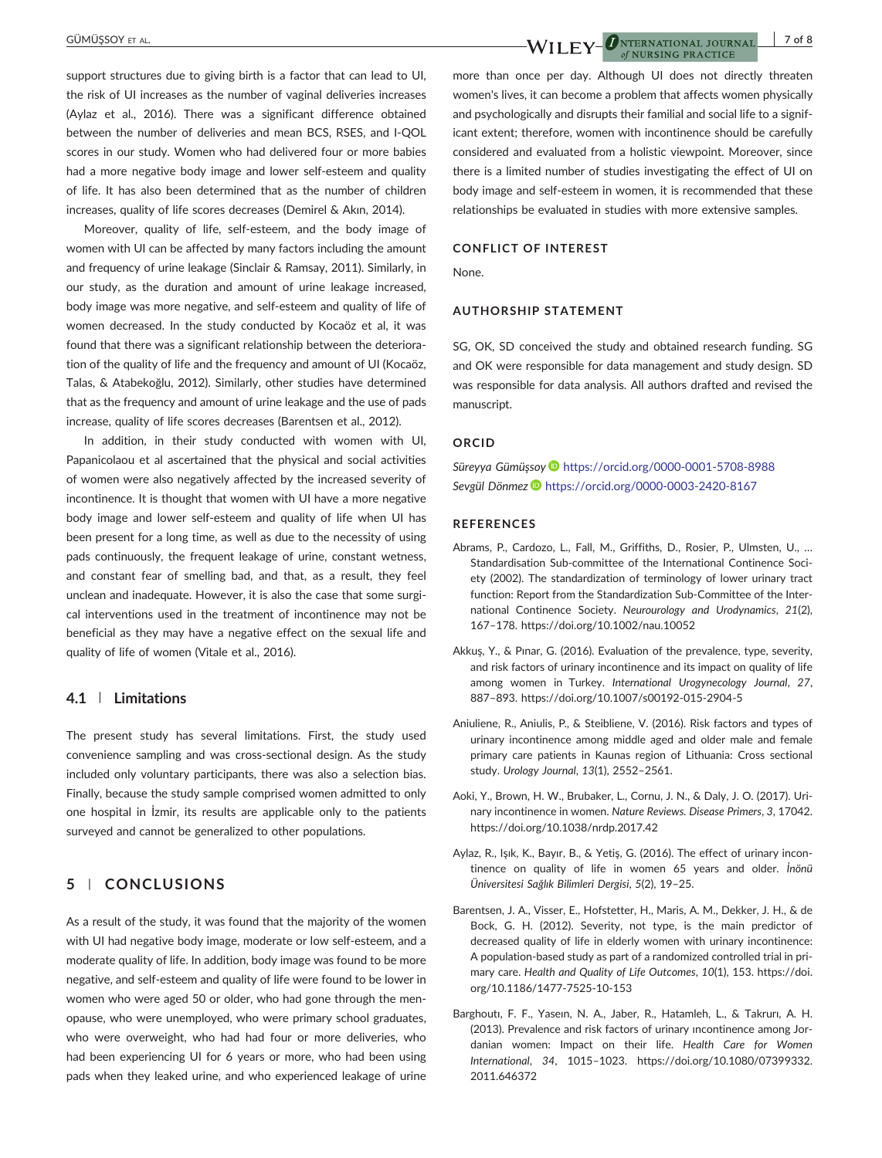#### GÜMÜŞSOY ET AL. **7 of 8 CÜMÜŞSOY ET AL. 7 of 8 CÜMÜŞSOY ET AL. 7 of 8**

support structures due to giving birth is a factor that can lead to UI, the risk of UI increases as the number of vaginal deliveries increases (Aylaz et al., 2016). There was a significant difference obtained between the number of deliveries and mean BCS, RSES, and I‐QOL scores in our study. Women who had delivered four or more babies had a more negative body image and lower self-esteem and quality of life. It has also been determined that as the number of children increases, quality of life scores decreases (Demirel & Akın, 2014).

Moreover, quality of life, self‐esteem, and the body image of women with UI can be affected by many factors including the amount and frequency of urine leakage (Sinclair & Ramsay, 2011). Similarly, in our study, as the duration and amount of urine leakage increased, body image was more negative, and self‐esteem and quality of life of women decreased. In the study conducted by Kocaöz et al, it was found that there was a significant relationship between the deterioration of the quality of life and the frequency and amount of UI (Kocaöz, Talas, & Atabekoğlu, 2012). Similarly, other studies have determined that as the frequency and amount of urine leakage and the use of pads increase, quality of life scores decreases (Barentsen et al., 2012).

In addition, in their study conducted with women with UI, Papanicolaou et al ascertained that the physical and social activities of women were also negatively affected by the increased severity of incontinence. It is thought that women with UI have a more negative body image and lower self‐esteem and quality of life when UI has been present for a long time, as well as due to the necessity of using pads continuously, the frequent leakage of urine, constant wetness, and constant fear of smelling bad, and that, as a result, they feel unclean and inadequate. However, it is also the case that some surgical interventions used in the treatment of incontinence may not be beneficial as they may have a negative effect on the sexual life and quality of life of women (Vitale et al., 2016).

## **4.1** | **Limitations**

The present study has several limitations. First, the study used convenience sampling and was cross‐sectional design. As the study included only voluntary participants, there was also a selection bias. Finally, because the study sample comprised women admitted to only one hospital in İzmir, its results are applicable only to the patients surveyed and cannot be generalized to other populations.

# **5** | **CONCLUSIONS**

As a result of the study, it was found that the majority of the women with UI had negative body image, moderate or low self‐esteem, and a moderate quality of life. In addition, body image was found to be more negative, and self‐esteem and quality of life were found to be lower in women who were aged 50 or older, who had gone through the menopause, who were unemployed, who were primary school graduates, who were overweight, who had had four or more deliveries, who had been experiencing UI for 6 years or more, who had been using pads when they leaked urine, and who experienced leakage of urine

more than once per day. Although UI does not directly threaten women's lives, it can become a problem that affects women physically and psychologically and disrupts their familial and social life to a significant extent; therefore, women with incontinence should be carefully considered and evaluated from a holistic viewpoint. Moreover, since there is a limited number of studies investigating the effect of UI on body image and self‐esteem in women, it is recommended that these relationships be evaluated in studies with more extensive samples.

of NURSING PRACTICE

## **CONFLICT OF INTEREST**

None.

#### **AUTHORSHIP STATEMENT**

SG, OK, SD conceived the study and obtained research funding. SG and OK were responsible for data management and study design. SD was responsible for data analysis. All authors drafted and revised the manuscript.

#### **ORCID**

*Süreyya Gümüşsoy* <https://orcid.org/0000-0001-5708-8988> *Sevgül Dönmez* <https://orcid.org/0000-0003-2420-8167>

#### **REFERENCES**

- Abrams, P., Cardozo, L., Fall, M., Griffiths, D., Rosier, P., Ulmsten, U., … Standardisation Sub‐committee of the International Continence Society (2002). The standardization of terminology of lower urinary tract function: Report from the Standardization Sub‐Committee of the International Continence Society. *Neurourology and Urodynamics*, *21*(2), 167–178.<https://doi.org/10.1002/nau.10052>
- Akkuş, Y., & Pınar, G. (2016). Evaluation of the prevalence, type, severity, and risk factors of urinary incontinence and its impact on quality of life among women in Turkey. *International Urogynecology Journal*, *27*, 887–893. [https://doi.org/10.1007/s00192](https://doi.org/10.1007/s00192-015-2904-5)‐015‐2904‐5
- Aniuliene, R., Aniulis, P., & Steibliene, V. (2016). Risk factors and types of urinary incontinence among middle aged and older male and female primary care patients in Kaunas region of Lithuania: Cross sectional study. *Urology Journal*, *13*(1), 2552–2561.
- Aoki, Y., Brown, H. W., Brubaker, L., Cornu, J. N., & Daly, J. O. (2017). Urinary incontinence in women. *Nature Reviews. Disease Primers*, *3*, 17042. <https://doi.org/10.1038/nrdp.2017.42>
- Aylaz, R., Işık, K., Bayır, B., & Yetiş, G. (2016). The effect of urinary incontinence on quality of life in women 65 years and older. *İnönü Üniversitesi Sağlık Bilimleri Dergisi*, *5*(2), 19–25.
- Barentsen, J. A., Visser, E., Hofstetter, H., Maris, A. M., Dekker, J. H., & de Bock, G. H. (2012). Severity, not type, is the main predictor of decreased quality of life in elderly women with urinary incontinence: A population‐based study as part of a randomized controlled trial in primary care. *Health and Quality of Life Outcomes*, *10*(1), 153. [https://doi.](https://doi.org/10.1186/1477-7525-10-153) [org/10.1186/1477](https://doi.org/10.1186/1477-7525-10-153)‐7525‐10‐153
- Barghoutı, F. F., Yaseın, N. A., Jaber, R., Hatamleh, L., & Takrurı, A. H. (2013). Prevalence and risk factors of urinary ıncontinence among Jordanian women: Impact on their life. *Health Care for Women International*, *34*, 1015–1023. [https://doi.org/10.1080/07399332.](https://doi.org/10.1080/07399332.2011.646372) [2011.646372](https://doi.org/10.1080/07399332.2011.646372)